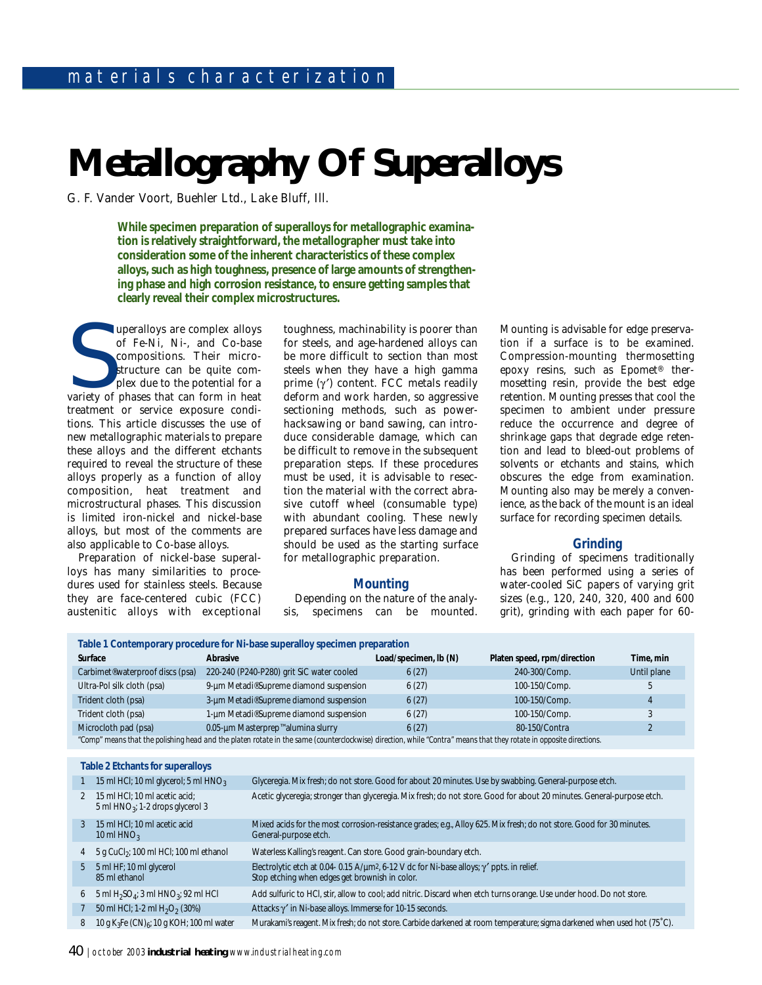# **Metallography Of Superalloys**

G. F. Vander Voort, Buehler Ltd., Lake Bluff, Ill.

**While specimen preparation of superalloys for metallographic examination is relatively straightforward, the metallographer must take into consideration some of the inherent characteristics of these complex alloys, such as high toughness, presence of large amounts of strengthening phase and high corrosion resistance, to ensure getting samples that clearly reveal their complex microstructures.** 

The uperalloys are complex alloys<br>
of Fe-Ni, Ni-, and Co-base<br>
compositions. Their micro-<br>
structure can be quite com-<br>
plex due to the potential for a<br>
variety of phases that can form in heat<br>
treatment or service exposur uperalloys are complex alloys of Fe-Ni, Ni-, and Co-base compositions. Their microstructure can be quite complex due to the potential for a treatment or service exposure conditions. This article discusses the use of new metallographic materials to prepare these alloys and the different etchants required to reveal the structure of these alloys properly as a function of alloy composition, heat treatment and microstructural phases. This discussion is limited iron-nickel and nickel-base alloys, but most of the comments are also applicable to Co-base alloys.

Preparation of nickel-base superalloys has many similarities to procedures used for stainless steels. Because they are face-centered cubic (FCC) austenitic alloys with exceptional toughness, machinability is poorer than for steels, and age-hardened alloys can be more difficult to section than most steels when they have a high gamma prime  $(γ')$  content. FCC metals readily deform and work harden, so aggressive sectioning methods, such as powerhacksawing or band sawing, can introduce considerable damage, which can be difficult to remove in the subsequent preparation steps. If these procedures must be used, it is advisable to resection the material with the correct abrasive cutoff wheel (consumable type) with abundant cooling. These newly prepared surfaces have less damage and should be used as the starting surface for metallographic preparation.

# **Mounting**

Depending on the nature of the analysis, specimens can be mounted. Mounting is advisable for edge preservation if a surface is to be examined. Compression-mounting thermosetting epoxy resins, such as Epomet® thermosetting resin, provide the best edge retention. Mounting presses that cool the specimen to ambient under pressure reduce the occurrence and degree of shrinkage gaps that degrade edge retention and lead to bleed-out problems of solvents or etchants and stains, which obscures the edge from examination. Mounting also may be merely a convenience, as the back of the mount is an ideal surface for recording specimen details.

# **Grinding**

Grinding of specimens traditionally has been performed using a series of water-cooled SiC papers of varying grit sizes (e.g., 120, 240, 320, 400 and 600 grit), grinding with each paper for 60-

| Table 1 Contemporary procedure for Ni-base superalloy specimen preparation                                                                                         |                                                |                                                                                                                                                               |                                                                                                                        |                |  |
|--------------------------------------------------------------------------------------------------------------------------------------------------------------------|------------------------------------------------|---------------------------------------------------------------------------------------------------------------------------------------------------------------|------------------------------------------------------------------------------------------------------------------------|----------------|--|
| Surface                                                                                                                                                            | Abrasive                                       | Load/specimen, lb (N)                                                                                                                                         | Platen speed, rpm/direction                                                                                            | Time, min      |  |
| Carbimet <sup>®</sup> waterproof discs (psa)                                                                                                                       | 220-240 (P240-P280) grit SiC water cooled      | 6(27)                                                                                                                                                         | 240-300/Comp.                                                                                                          | Until plane    |  |
| Ultra-Pol silk cloth (psa)                                                                                                                                         | 9-um Metadi® Supreme diamond suspension        | 6(27)                                                                                                                                                         | 100-150/Comp.                                                                                                          | 5              |  |
| Trident cloth (psa)                                                                                                                                                | 3-um Metadi® Supreme diamond suspension        | 6(27)                                                                                                                                                         | 100-150/Comp.                                                                                                          |                |  |
| Trident cloth (psa)                                                                                                                                                | 1-um Metadi® Supreme diamond suspension        | 6(27)                                                                                                                                                         | 100-150/Comp.                                                                                                          | 3              |  |
| Microcloth pad (psa)                                                                                                                                               | 0.05-µm Masterprep <sup>™</sup> alumina slurry | 6(27)                                                                                                                                                         | 80-150/Contra                                                                                                          | $\overline{2}$ |  |
| "Comp" means that the polishing head and the platen rotate in the same (counterclockwise) direction, while "Contra" means that they rotate in opposite directions. |                                                |                                                                                                                                                               |                                                                                                                        |                |  |
|                                                                                                                                                                    |                                                |                                                                                                                                                               |                                                                                                                        |                |  |
| Table 2 Etchants for superalloys                                                                                                                                   |                                                |                                                                                                                                                               |                                                                                                                        |                |  |
| 15 ml HCl; 10 ml glycerol; 5 ml $HNO3$                                                                                                                             |                                                |                                                                                                                                                               | Glyceregia. Mix fresh; do not store. Good for about 20 minutes. Use by swabbing. General-purpose etch.                 |                |  |
| 15 ml HCI; 10 ml acetic acid;<br>2<br>5 ml $HNO3$ ; 1-2 drops glycerol 3                                                                                           |                                                |                                                                                                                                                               | Acetic glyceregia; stronger than glyceregia. Mix fresh; do not store. Good for about 20 minutes. General-purpose etch. |                |  |
| 15 ml HCl; 10 ml acetic acid<br>3<br>10 ml $HNO3$                                                                                                                  | General-purpose etch.                          |                                                                                                                                                               | Mixed acids for the most corrosion-resistance grades; e.g., Alloy 625. Mix fresh; do not store. Good for 30 minutes.   |                |  |
| 5 g CuCl <sub>2</sub> ; 100 ml HCl; 100 ml ethanol<br>4                                                                                                            |                                                | Waterless Kalling's reagent. Can store. Good grain-boundary etch.                                                                                             |                                                                                                                        |                |  |
| 5 ml HF; 10 ml glycerol<br>5<br>85 ml ethanol                                                                                                                      |                                                | Electrolytic etch at 0.04-0.15 A/µm <sup>2</sup> , 6-12 V dc for Ni-base alloys; $\gamma'$ ppts. in relief.<br>Stop etching when edges get brownish in color. |                                                                                                                        |                |  |
| 5 ml $H_2SO_4$ ; 3 ml $HNO_3$ ; 92 ml HCl<br>6                                                                                                                     |                                                | Add sulfuric to HCI, stir, allow to cool; add nitric. Discard when etch turns orange. Use under hood. Do not store.                                           |                                                                                                                        |                |  |
| 50 ml HCl; 1-2 ml $H_2O_2$ (30%)                                                                                                                                   |                                                | Attacks y' in Ni-base alloys. Immerse for 10-15 seconds.                                                                                                      |                                                                                                                        |                |  |
| 10 g K <sub>3</sub> Fe $(CN)_{6}$ ; 10 g KOH; 100 ml water<br>8                                                                                                    |                                                | Murakami's reagent. Mix fresh; do not store. Carbide darkened at room temperature; sigma darkened when used hot (75°C).                                       |                                                                                                                        |                |  |

40 | october 2003 **industrial heating** www.industrialheating.com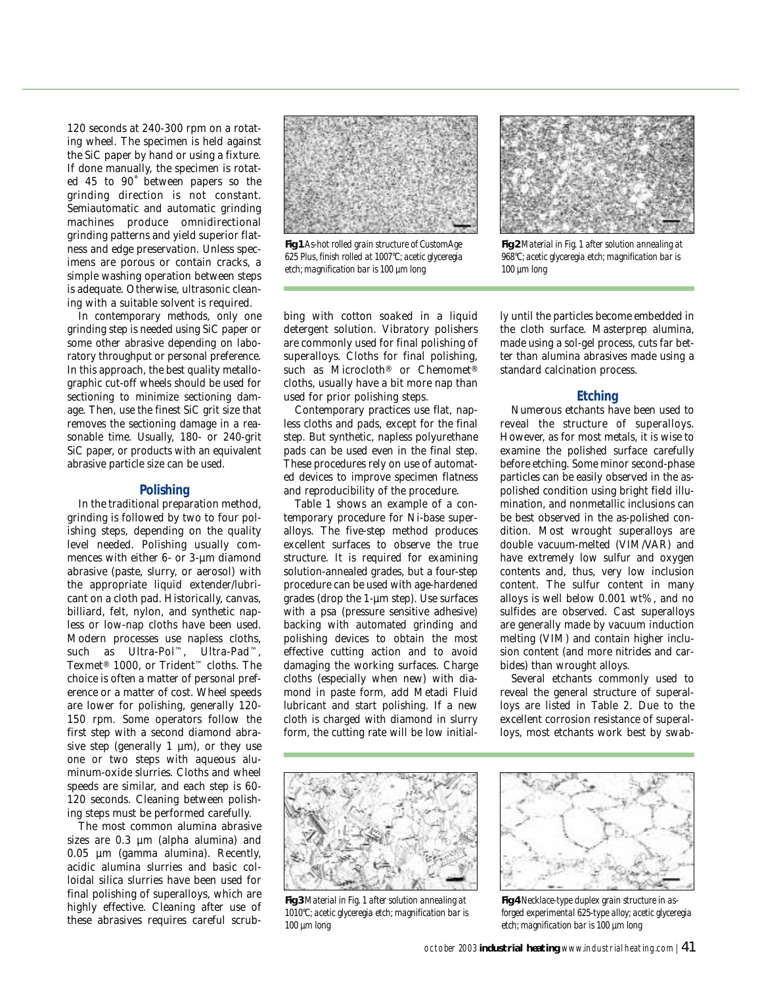120 seconds at 240-300 rpm on a rotating wheel. The specimen is held against the SiC paper by hand or using a fixture. If done manually, the specimen is rotated 45 to 90˚ between papers so the grinding direction is not constant. Semiautomatic and automatic grinding machines produce omnidirectional grinding patterns and yield superior flatness and edge preservation. Unless specimens are porous or contain cracks, a simple washing operation between steps is adequate. Otherwise, ultrasonic cleaning with a suitable solvent is required.

In contemporary methods, only one grinding step is needed using SiC paper or some other abrasive depending on laboratory throughput or personal preference. In this approach, the best quality metallographic cut-off wheels should be used for sectioning to minimize sectioning damage. Then, use the finest SiC grit size that removes the sectioning damage in a reasonable time. Usually, 180- or 240-grit SiC paper, or products with an equivalent abrasive particle size can be used.

#### **Polishing**

In the traditional preparation method, grinding is followed by two to four polishing steps, depending on the quality level needed. Polishing usually commences with either 6- or 3-µm diamond abrasive (paste, slurry, or aerosol) with the appropriate liquid extender/lubricant on a cloth pad. Historically, canvas, billiard, felt, nylon, and synthetic napless or low-nap cloths have been used. Modern processes use napless cloths, such as Ultra-Pol™, Ultra-Pad™, Texmet® 1000, or Trident™ cloths. The choice is often a matter of personal preference or a matter of cost. Wheel speeds are lower for polishing, generally 120- 150 rpm. Some operators follow the first step with a second diamond abrasive step (generally 1  $\mu$ m), or they use one or two steps with aqueous aluminum-oxide slurries. Cloths and wheel speeds are similar, and each step is 60- 120 seconds. Cleaning between polishing steps must be performed carefully.

The most common alumina abrasive sizes are  $0.3 \mu m$  (alpha alumina) and 0.05 µm (gamma alumina). Recently, acidic alumina slurries and basic colloidal silica slurries have been used for final polishing of superalloys, which are highly effective. Cleaning after use of these abrasives requires careful scrub-



*Fig 1 As-hot rolled grain structure of CustomAge 625 Plus, finish rolled at 1007°C; acetic glyceregia etch; magnification bar is 100 µm long*

bing with cotton soaked in a liquid detergent solution. Vibratory polishers are commonly used for final polishing of superalloys. Cloths for final polishing, such as Microcloth® or Chemomet® cloths, usually have a bit more nap than used for prior polishing steps.

Contemporary practices use flat, napless cloths and pads, except for the final step. But synthetic, napless polyurethane pads can be used even in the final step. These procedures rely on use of automated devices to improve specimen flatness and reproducibility of the procedure.

Table 1 shows an example of a contemporary procedure for Ni-base superalloys. The five-step method produces excellent surfaces to observe the true structure. It is required for examining solution-annealed grades, but a four-step procedure can be used with age-hardened grades (drop the 1-µm step). Use surfaces with a psa (pressure sensitive adhesive) backing with automated grinding and polishing devices to obtain the most effective cutting action and to avoid damaging the working surfaces. Charge cloths (especially when new) with diamond in paste form, add Metadi Fluid lubricant and start polishing. If a new cloth is charged with diamond in slurry form, the cutting rate will be low initial-



*Fig 2 Material in Fig. 1 after solution annealing at*

the cloth surface. Masterprep alumina, made using a sol-gel process, cuts far better than alumina abrasives made using a standard calcination process.

# **Etching**

Numerous etchants have been used to reveal the structure of superalloys. However, as for most metals, it is wise to examine the polished surface carefully before etching. Some minor second-phase particles can be easily observed in the aspolished condition using bright field illumination, and nonmetallic inclusions can be best observed in the as-polished condition. Most wrought superalloys are double vacuum-melted (VIM/VAR) and have extremely low sulfur and oxygen contents and, thus, very low inclusion content. The sulfur content in many alloys is well below 0.001 wt%, and no sulfides are observed. Cast superalloys are generally made by vacuum induction melting (VIM) and contain higher inclusion content (and more nitrides and carbides) than wrought alloys.

Several etchants commonly used to reveal the general structure of superalloys are listed in Table 2. Due to the excellent corrosion resistance of superalloys, most etchants work best by swab-



*Fig 3 Material in Fig. 1 after solution annealing at 1010°C; acetic glyceregia etch; magnification bar is 100 µm long* 



*Fig 4 Necklace-type duplex grain structure in asforged experimental 625-type alloy; acetic glyceregia etch; magnification bar is 100 µm long*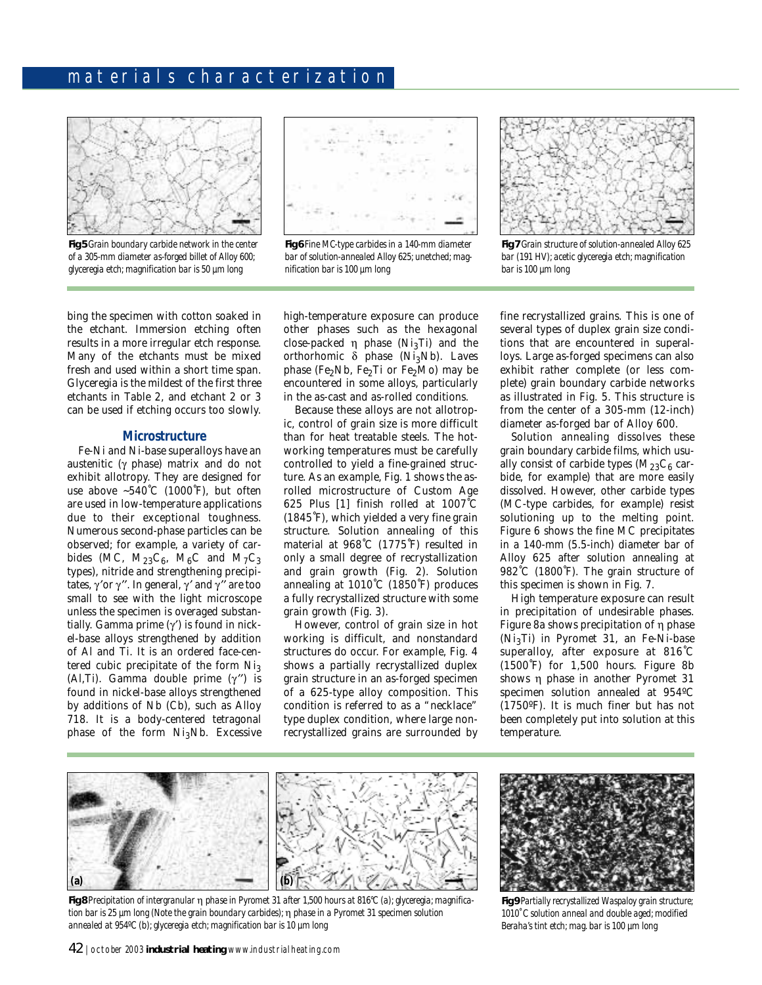# materials characterization



*Fig 5 Grain boundary carbide network in the center of a 305-mm diameter as-forged billet of Alloy 600; glyceregia etch; magnification bar is 50 µm long*



*Fig 6 Fine MC-type carbides in a 140-mm diameter bar of solution-annealed Alloy 625; unetched; magnification bar is 100 µm long*



*Fig 7 Grain structure of solution-annealed Alloy 625 bar (191 HV); acetic glyceregia etch; magnification bar is 100 µm long*

bing the specimen with cotton soaked in the etchant. Immersion etching often results in a more irregular etch response. Many of the etchants must be mixed fresh and used within a short time span. Glyceregia is the mildest of the first three etchants in Table 2, and etchant 2 or 3 can be used if etching occurs too slowly.

#### **Microstructure**

Fe-Ni and Ni-base superalloys have an austenitic (γ phase) matrix and do not exhibit allotropy. They are designed for use above  $~540^{\circ}$ C (1000°F), but often are used in low-temperature applications due to their exceptional toughness. Numerous second-phase particles can be observed; for example, a variety of carbides (MC,  $M_{23}C_6$ ,  $M_6C$  and  $M_7C_3$ types), nitride and strengthening precipitates,  $γ'$ or  $γ''$ . In general,  $γ'$  and  $γ''$  are too small to see with the light microscope unless the specimen is overaged substantially. Gamma prime (γ′) is found in nickel-base alloys strengthened by addition of Al and Ti. It is an ordered face-centered cubic precipitate of the form  $Ni<sub>3</sub>$ (Al,Ti). Gamma double prime  $(\gamma'')$  is found in nickel-base alloys strengthened by additions of Nb (Cb), such as Alloy 718. It is a body-centered tetragonal phase of the form Ni<sub>3</sub>Nb. Excessive

high-temperature exposure can produce other phases such as the hexagonal close-packed  $\eta$  phase (Ni<sub>3</sub>Ti) and the orthorhomic  $\delta$  phase (Ni<sub>3</sub>Nb). Laves phase (Fe<sub>2</sub>Nb, Fe<sub>2</sub>Ti or Fe<sub>2</sub>Mo) may be encountered in some alloys, particularly in the as-cast and as-rolled conditions.

Because these alloys are not allotropic, control of grain size is more difficult than for heat treatable steels. The hotworking temperatures must be carefully controlled to yield a fine-grained structure. As an example, Fig. 1 shows the asrolled microstructure of Custom Age 625 Plus [1] finish rolled at 1007˚C (1845˚F), which yielded a very fine grain structure. Solution annealing of this material at 968˚C (1775˚F) resulted in only a small degree of recrystallization and grain growth (Fig. 2). Solution annealing at 1010˚C (1850˚F) produces a fully recrystallized structure with some grain growth (Fig. 3).

However, control of grain size in hot working is difficult, and nonstandard structures do occur. For example, Fig. 4 shows a partially recrystallized duplex grain structure in an as-forged specimen of a 625-type alloy composition. This condition is referred to as a "necklace" type duplex condition, where large nonrecrystallized grains are surrounded by fine recrystallized grains. This is one of several types of duplex grain size conditions that are encountered in superalloys. Large as-forged specimens can also exhibit rather complete (or less complete) grain boundary carbide networks as illustrated in Fig. 5. This structure is from the center of a 305-mm (12-inch) diameter as-forged bar of Alloy 600.

Solution annealing dissolves these grain boundary carbide films, which usually consist of carbide types  $(M_{23}C_6$  carbide, for example) that are more easily dissolved. However, other carbide types (MC-type carbides, for example) resist solutioning up to the melting point. Figure 6 shows the fine MC precipitates in a 140-mm (5.5-inch) diameter bar of Alloy 625 after solution annealing at 982˚C (1800˚F). The grain structure of this specimen is shown in Fig. 7.

High temperature exposure can result in precipitation of undesirable phases. Figure 8a shows precipitation of η phase (Ni3Ti) in Pyromet 31, an Fe-Ni-base superalloy, after exposure at 816˚C (1500˚F) for 1,500 hours. Figure 8b shows η phase in another Pyromet 31 specimen solution annealed at 954ºC (1750ºF). It is much finer but has not been completely put into solution at this temperature.



*Fig 8 Precipitation of intergranular* η *phase in Pyromet 31 after 1,500 hours at 816°C (a); glyceregia; magnification bar is 25 µm long (Note the grain boundary carbides);* η *phase in a Pyromet 31 specimen solution annealed at 954ºC (b); glyceregia etch; magnification bar is 10 µm long*



*Fig 9 Partially recrystallized Waspaloy grain structure; 1010˚C solution anneal and double aged; modified Beraha's tint etch; mag. bar is 100 µm long*